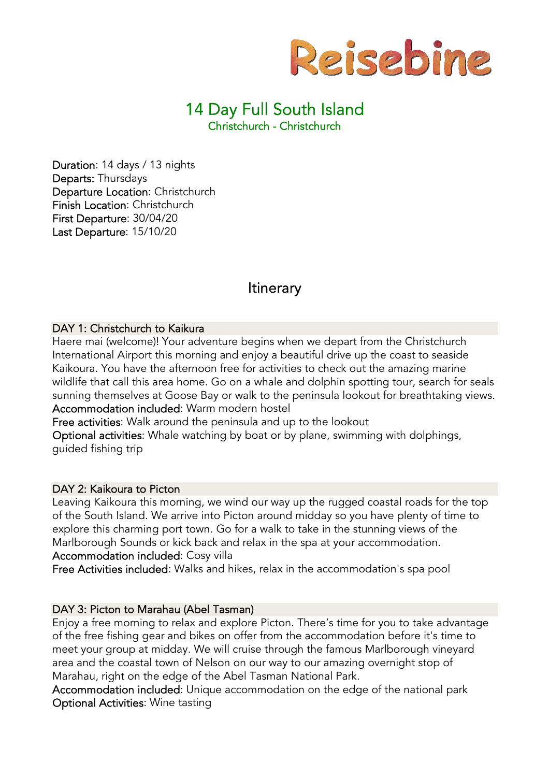

# 14 Day Full South Island Christchurch - Christchurch

Duration: 14 days / 13 nights Departs: Thursdays Departure Location: Christchurch Finish Location: Christchurch First Departure: 30/04/20 Last Departure: 15/10/20

# **Itinerary**

# DAY 1: Christchurch to Kaikura

Haere mai (welcome)! Your adventure begins when we depart from the Christchurch International Airport this morning and enjoy a beautiful drive up the coast to seaside Kaikoura. You have the afternoon free for activities to check out the amazing marine wildlife that call this area home. Go on a whale and dolphin spotting tour, search for seals sunning themselves at Goose Bay or walk to the peninsula lookout for breathtaking views. Accommodation included: Warm modern hostel

Free activities: Walk around the peninsula and up to the lookout

Optional activities: Whale watching by boat or by plane, swimming with dolphings, guided fishing trip

## DAY 2: Kaikoura to Picton

Leaving Kaikoura this morning, we wind our way up the rugged coastal roads for the top of the South Island. We arrive into Picton around midday so you have plenty of time to explore this charming port town. Go for a walk to take in the stunning views of the Marlborough Sounds or kick back and relax in the spa at your accommodation. Accommodation included: Cosy villa

Free Activities included: Walks and hikes, relax in the accommodation's spa pool

## DAY 3: Picton to Marahau (Abel Tasman)

Enjoy a free morning to relax and explore Picton. There's time for you to take advantage of the free fishing gear and bikes on offer from the accommodation before it's time to meet your group at midday. We will cruise through the famous Marlborough vineyard area and the coastal town of Nelson on our way to our amazing overnight stop of Marahau, right on the edge of the Abel Tasman National Park.

Accommodation included: Unique accommodation on the edge of the national park Optional Activities: Wine tasting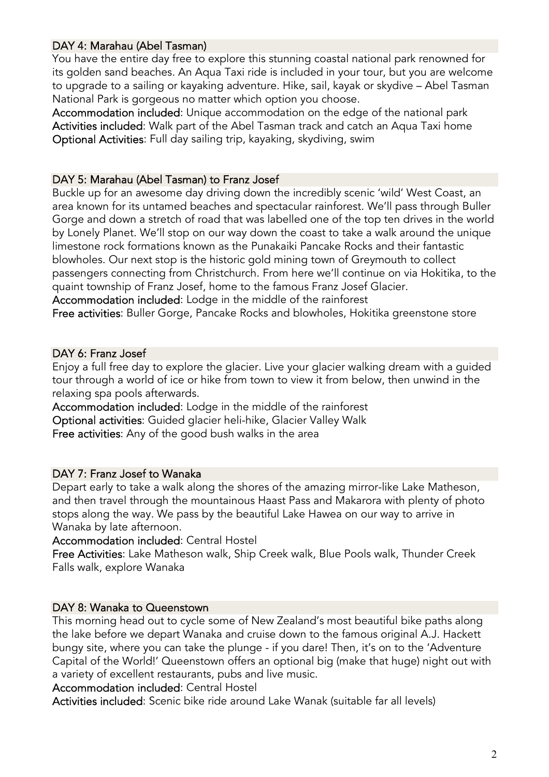# DAY 4: Marahau (Abel Tasman)

You have the entire day free to explore this stunning coastal national park renowned for its golden sand beaches. An Aqua Taxi ride is included in your tour, but you are welcome to upgrade to a sailing or kayaking adventure. Hike, sail, kayak or skydive – Abel Tasman National Park is gorgeous no matter which option you choose.

Accommodation included: Unique accommodation on the edge of the national park Activities included: Walk part of the Abel Tasman track and catch an Aqua Taxi home Optional Activities: Full day sailing trip, kayaking, skydiving, swim

### DAY 5: Marahau (Abel Tasman) to Franz Josef

Buckle up for an awesome day driving down the incredibly scenic 'wild' West Coast, an area known for its untamed beaches and spectacular rainforest. We'll pass through Buller Gorge and down a stretch of road that was labelled one of the top ten drives in the world by Lonely Planet. We'll stop on our way down the coast to take a walk around the unique limestone rock formations known as the Punakaiki Pancake Rocks and their fantastic blowholes. Our next stop is the historic gold mining town of Greymouth to collect passengers connecting from Christchurch. From here we'll continue on via Hokitika, to the quaint township of Franz Josef, home to the famous Franz Josef Glacier.

Accommodation included: Lodge in the middle of the rainforest

Free activities: Buller Gorge, Pancake Rocks and blowholes, Hokitika greenstone store

## DAY 6: Franz Josef

Enjoy a full free day to explore the glacier. Live your glacier walking dream with a guided tour through a world of ice or hike from town to view it from below, then unwind in the relaxing spa pools afterwards.

Accommodation included: Lodge in the middle of the rainforest Optional activities: Guided glacier heli-hike, Glacier Valley Walk Free activities: Any of the good bush walks in the area

#### DAY 7: Franz Josef to Wanaka

Depart early to take a walk along the shores of the amazing mirror-like Lake Matheson, and then travel through the mountainous Haast Pass and Makarora with plenty of photo stops along the way. We pass by the beautiful Lake Hawea on our way to arrive in Wanaka by late afternoon.

Accommodation included: Central Hostel

Free Activities: Lake Matheson walk, Ship Creek walk, Blue Pools walk, Thunder Creek Falls walk, explore Wanaka

## DAY 8: Wanaka to Queenstown

This morning head out to cycle some of New Zealand's most beautiful bike paths along the lake before we depart Wanaka and cruise down to the famous original A.J. Hackett bungy site, where you can take the plunge - if you dare! Then, it's on to the 'Adventure Capital of the World!' Queenstown offers an optional big (make that huge) night out with a variety of excellent restaurants, pubs and live music.

#### Accommodation included: Central Hostel

Activities included: Scenic bike ride around Lake Wanak (suitable far all levels)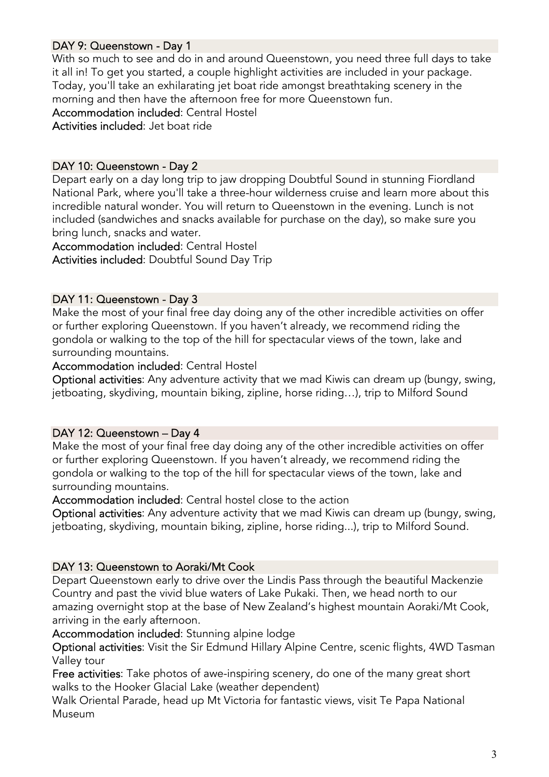# DAY 9: Queenstown - Day 1

With so much to see and do in and around Queenstown, you need three full days to take it all in! To get you started, a couple highlight activities are included in your package. Today, you'll take an exhilarating jet boat ride amongst breathtaking scenery in the morning and then have the afternoon free for more Queenstown fun. Accommodation included: Central Hostel

Activities included: Jet boat ride

# DAY 10: Queenstown - Day 2

Depart early on a day long trip to jaw dropping Doubtful Sound in stunning Fiordland National Park, where you'll take a three-hour wilderness cruise and learn more about this incredible natural wonder. You will return to Queenstown in the evening. Lunch is not included (sandwiches and snacks available for purchase on the day), so make sure you bring lunch, snacks and water.

Accommodation included: Central Hostel Activities included: Doubtful Sound Day Trip

# DAY 11: Queenstown - Day 3

Make the most of your final free day doing any of the other incredible activities on offer or further exploring Queenstown. If you haven't already, we recommend riding the gondola or walking to the top of the hill for spectacular views of the town, lake and surrounding mountains.

## Accommodation included: Central Hostel

Optional activities: Any adventure activity that we mad Kiwis can dream up (bungy, swing, jetboating, skydiving, mountain biking, zipline, horse riding…), trip to Milford Sound

# DAY 12: Queenstown – Day 4

Make the most of your final free day doing any of the other incredible activities on offer or further exploring Queenstown. If you haven't already, we recommend riding the gondola or walking to the top of the hill for spectacular views of the town, lake and surrounding mountains.

## Accommodation included: Central hostel close to the action

Optional activities: Any adventure activity that we mad Kiwis can dream up (bungy, swing, jetboating, skydiving, mountain biking, zipline, horse riding...), trip to Milford Sound.

## DAY 13: Queenstown to Aoraki/Mt Cook

Depart Queenstown early to drive over the Lindis Pass through the beautiful Mackenzie Country and past the vivid blue waters of Lake Pukaki. Then, we head north to our amazing overnight stop at the base of New Zealand's highest mountain Aoraki/Mt Cook, arriving in the early afternoon.

Accommodation included: Stunning alpine lodge

Optional activities: Visit the Sir Edmund Hillary Alpine Centre, scenic flights, 4WD Tasman Valley tour

Free activities: Take photos of awe-inspiring scenery, do one of the many great short walks to the Hooker Glacial Lake (weather dependent)

Walk Oriental Parade, head up Mt Victoria for fantastic views, visit Te Papa National Museum